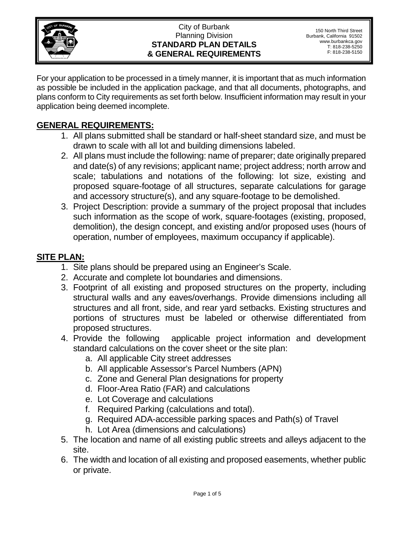

#### City of Burbank Planning Division **STANDARD PLAN DETAILS & GENERAL REQUIREMENTS**

For your application to be processed in a timely manner, it is important that as much information as possible be included in the application package, and that all documents, photographs, and plans conform to City requirements as set forth below. Insufficient information may result in your application being deemed incomplete.

# **GENERAL REQUIREMENTS:**

- 1. All plans submitted shall be standard or half-sheet standard size, and must be drawn to scale with all lot and building dimensions labeled.
- 2. All plans must include the following: name of preparer; date originally prepared and date(s) of any revisions; applicant name; project address; north arrow and scale; tabulations and notations of the following: lot size, existing and proposed square-footage of all structures, separate calculations for garage and accessory structure(s), and any square-footage to be demolished.
- 3. Project Description: provide a summary of the project proposal that includes such information as the scope of work, square-footages (existing, proposed, demolition), the design concept, and existing and/or proposed uses (hours of operation, number of employees, maximum occupancy if applicable).

# **SITE PLAN:**

- 1. Site plans should be prepared using an Engineer's Scale.
- 2. Accurate and complete lot boundaries and dimensions.
- 3. Footprint of all existing and proposed structures on the property, including structural walls and any eaves/overhangs. Provide dimensions including all structures and all front, side, and rear yard setbacks. Existing structures and portions of structures must be labeled or otherwise differentiated from proposed structures.
- 4. Provide the following applicable project information and development standard calculations on the cover sheet or the site plan:
	- a. All applicable City street addresses
	- b. All applicable Assessor's Parcel Numbers (APN)
	- c. Zone and General Plan designations for property
	- d. Floor-Area Ratio (FAR) and calculations
	- e. Lot Coverage and calculations
	- f. Required Parking (calculations and total).
	- g. Required ADA-accessible parking spaces and Path(s) of Travel
	- h. Lot Area (dimensions and calculations)
- 5. The location and name of all existing public streets and alleys adjacent to the site.
- 6. The width and location of all existing and proposed easements, whether public or private.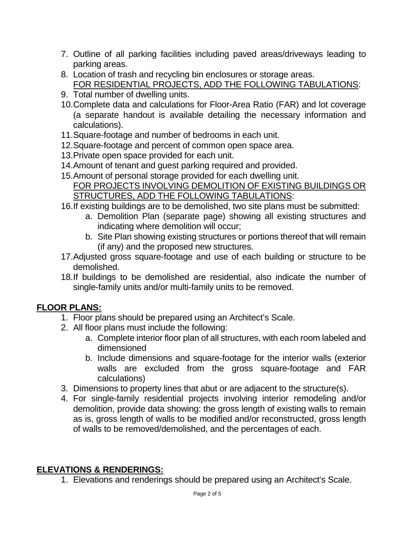- 7. Outline of all parking facilities including paved areas/driveways leading to parking areas.
- 8. Location of trash and recycling bin enclosures or storage areas. FOR RESIDENTIAL PROJECTS, ADD THE FOLLOWING TABULATIONS:
- 9. Total number of dwelling units.
- 10.Complete data and calculations for Floor-Area Ratio (FAR) and lot coverage (a separate handout is available detailing the necessary information and calculations).
- 11.Square-footage and number of bedrooms in each unit.
- 12.Square-footage and percent of common open space area.
- 13.Private open space provided for each unit.
- 14.Amount of tenant and guest parking required and provided.
- 15.Amount of personal storage provided for each dwelling unit. FOR PROJECTS INVOLVING DEMOLITION OF EXISTING BUILDINGS OR STRUCTURES, ADD THE FOLLOWING TABULATIONS:
- 16.If existing buildings are to be demolished, two site plans must be submitted:
	- a. Demolition Plan (separate page) showing all existing structures and indicating where demolition will occur;
	- b. Site Plan showing existing structures or portions thereof that will remain (if any) and the proposed new structures.
- 17.Adjusted gross square-footage and use of each building or structure to be demolished.
- 18.If buildings to be demolished are residential, also indicate the number of single-family units and/or multi-family units to be removed.

# **FLOOR PLANS:**

- 1. Floor plans should be prepared using an Architect's Scale.
- 2. All floor plans must include the following:
	- a. Complete interior floor plan of all structures, with each room labeled and dimensioned
	- b. Include dimensions and square-footage for the interior walls (exterior walls are excluded from the gross square-footage and FAR calculations)
- 3. Dimensions to property lines that abut or are adjacent to the structure(s).
- 4. For single-family residential projects involving interior remodeling and/or demolition, provide data showing: the gross length of existing walls to remain as is, gross length of walls to be modified and/or reconstructed, gross length of walls to be removed/demolished, and the percentages of each.

### **ELEVATIONS & RENDERINGS:**

1. Elevations and renderings should be prepared using an Architect's Scale.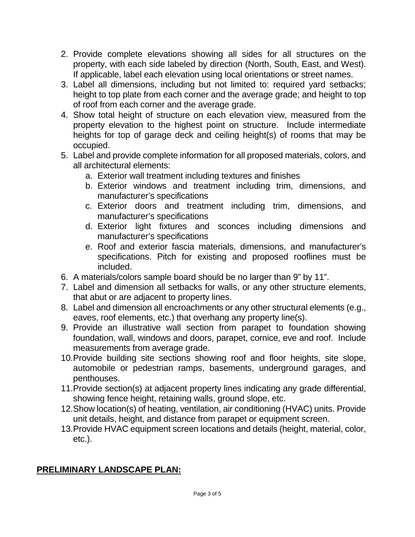- 2. Provide complete elevations showing all sides for all structures on the property, with each side labeled by direction (North, South, East, and West). If applicable, label each elevation using local orientations or street names.
- 3. Label all dimensions, including but not limited to: required yard setbacks; height to top plate from each corner and the average grade; and height to top of roof from each corner and the average grade.
- 4. Show total height of structure on each elevation view, measured from the property elevation to the highest point on structure. Include intermediate heights for top of garage deck and ceiling height(s) of rooms that may be occupied.
- 5. Label and provide complete information for all proposed materials, colors, and all architectural elements:
	- a. Exterior wall treatment including textures and finishes
	- b. Exterior windows and treatment including trim, dimensions, and manufacturer's specifications
	- c. Exterior doors and treatment including trim, dimensions, and manufacturer's specifications
	- d. Exterior light fixtures and sconces including dimensions and manufacturer's specifications
	- e. Roof and exterior fascia materials, dimensions, and manufacturer's specifications. Pitch for existing and proposed rooflines must be included.
- 6. A materials/colors sample board should be no larger than 9" by 11".
- 7. Label and dimension all setbacks for walls, or any other structure elements, that abut or are adjacent to property lines.
- 8. Label and dimension all encroachments or any other structural elements (e.g., eaves, roof elements, etc.) that overhang any property line(s).
- 9. Provide an illustrative wall section from parapet to foundation showing foundation, wall, windows and doors, parapet, cornice, eve and roof. Include measurements from average grade.
- 10.Provide building site sections showing roof and floor heights, site slope, automobile or pedestrian ramps, basements, underground garages, and penthouses.
- 11.Provide section(s) at adjacent property lines indicating any grade differential, showing fence height, retaining walls, ground slope, etc.
- 12.Show location(s) of heating, ventilation, air conditioning (HVAC) units. Provide unit details, height, and distance from parapet or equipment screen.
- 13.Provide HVAC equipment screen locations and details (height, material, color, etc.).

# **PRELIMINARY LANDSCAPE PLAN:**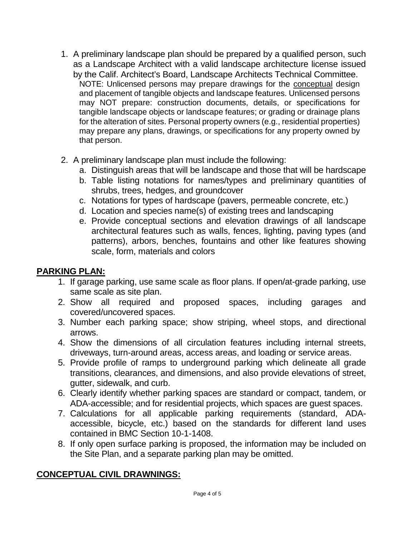- 1. A preliminary landscape plan should be prepared by a qualified person, such as a Landscape Architect with a valid landscape architecture license issued by the Calif. Architect's Board, Landscape Architects Technical Committee. NOTE: Unlicensed persons may prepare drawings for the conceptual design and placement of tangible objects and landscape features. Unlicensed persons may NOT prepare: construction documents, details, or specifications for tangible landscape objects or landscape features; or grading or drainage plans for the alteration of sites. Personal property owners (e.g., residential properties) may prepare any plans, drawings, or specifications for any property owned by that person.
- 2. A preliminary landscape plan must include the following:
	- a. Distinguish areas that will be landscape and those that will be hardscape
	- b. Table listing notations for names/types and preliminary quantities of shrubs, trees, hedges, and groundcover
	- c. Notations for types of hardscape (pavers, permeable concrete, etc.)
	- d. Location and species name(s) of existing trees and landscaping
	- e. Provide conceptual sections and elevation drawings of all landscape architectural features such as walls, fences, lighting, paving types (and patterns), arbors, benches, fountains and other like features showing scale, form, materials and colors

# **PARKING PLAN:**

- 1. If garage parking, use same scale as floor plans. If open/at-grade parking, use same scale as site plan.
- 2. Show all required and proposed spaces, including garages and covered/uncovered spaces.
- 3. Number each parking space; show striping, wheel stops, and directional arrows.
- 4. Show the dimensions of all circulation features including internal streets, driveways, turn-around areas, access areas, and loading or service areas.
- 5. Provide profile of ramps to underground parking which delineate all grade transitions, clearances, and dimensions, and also provide elevations of street, gutter, sidewalk, and curb.
- 6. Clearly identify whether parking spaces are standard or compact, tandem, or ADA-accessible; and for residential projects, which spaces are guest spaces.
- 7. Calculations for all applicable parking requirements (standard, ADAaccessible, bicycle, etc.) based on the standards for different land uses contained in BMC Section 10-1-1408.
- 8. If only open surface parking is proposed, the information may be included on the Site Plan, and a separate parking plan may be omitted.

# **CONCEPTUAL CIVIL DRAWNINGS:**